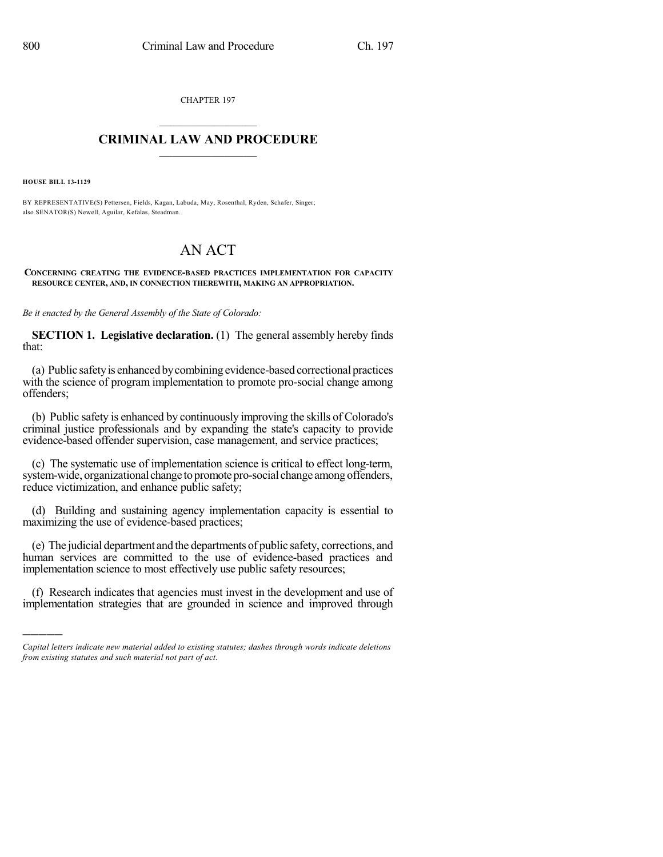CHAPTER 197  $\mathcal{L}_\text{max}$  . The set of the set of the set of the set of the set of the set of the set of the set of the set of the set of the set of the set of the set of the set of the set of the set of the set of the set of the set

## **CRIMINAL LAW AND PROCEDURE**  $\frac{1}{2}$  ,  $\frac{1}{2}$  ,  $\frac{1}{2}$  ,  $\frac{1}{2}$  ,  $\frac{1}{2}$  ,  $\frac{1}{2}$  ,  $\frac{1}{2}$

**HOUSE BILL 13-1129**

)))))

BY REPRESENTATIVE(S) Pettersen, Fields, Kagan, Labuda, May, Rosenthal, Ryden, Schafer, Singer; also SENATOR(S) Newell, Aguilar, Kefalas, Steadman.

## AN ACT

**CONCERNING CREATING THE EVIDENCE-BASED PRACTICES IMPLEMENTATION FOR CAPACITY RESOURCE CENTER, AND, IN CONNECTION THEREWITH, MAKING AN APPROPRIATION.**

*Be it enacted by the General Assembly of the State of Colorado:*

**SECTION 1. Legislative declaration.** (1) The general assembly hereby finds that:

(a) Public safetyis enhancedbycombiningevidence-based correctional practices with the science of program implementation to promote pro-social change among offenders;

(b) Public safety is enhanced by continuously improving the skills of Colorado's criminal justice professionals and by expanding the state's capacity to provide evidence-based offender supervision, case management, and service practices;

(c) The systematic use of implementation science is critical to effect long-term, system-wide, organizational change to promote pro-social change among offenders, reduce victimization, and enhance public safety;

(d) Building and sustaining agency implementation capacity is essential to maximizing the use of evidence-based practices;

(e) The judicial department and the departments of public safety, corrections, and human services are committed to the use of evidence-based practices and implementation science to most effectively use public safety resources;

(f) Research indicates that agencies must invest in the development and use of implementation strategies that are grounded in science and improved through

*Capital letters indicate new material added to existing statutes; dashes through words indicate deletions from existing statutes and such material not part of act.*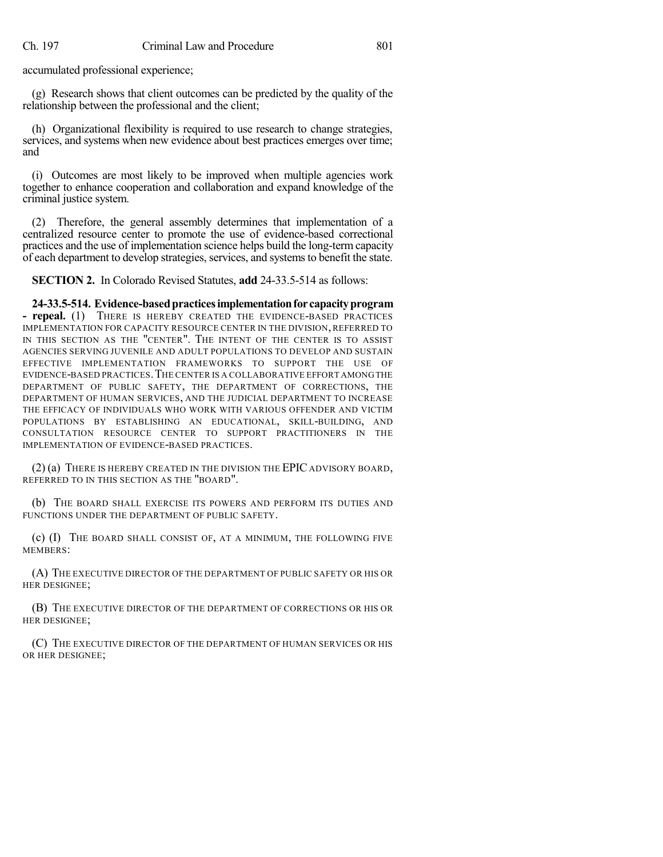accumulated professional experience;

(g) Research shows that client outcomes can be predicted by the quality of the relationship between the professional and the client;

(h) Organizational flexibility is required to use research to change strategies, services, and systems when new evidence about best practices emerges over time; and

(i) Outcomes are most likely to be improved when multiple agencies work together to enhance cooperation and collaboration and expand knowledge of the criminal justice system.

(2) Therefore, the general assembly determines that implementation of a centralized resource center to promote the use of evidence-based correctional practices and the use of implementation science helps build the long-term capacity of each department to develop strategies, services, and systems to benefit the state.

**SECTION 2.** In Colorado Revised Statutes, **add** 24-33.5-514 as follows:

**24-33.5-514. Evidence-basedpracticesimplementationfor capacityprogram - repeal.** (1) THERE IS HEREBY CREATED THE EVIDENCE-BASED PRACTICES IMPLEMENTATION FOR CAPACITY RESOURCE CENTER IN THE DIVISION, REFERRED TO IN THIS SECTION AS THE "CENTER". THE INTENT OF THE CENTER IS TO ASSIST AGENCIES SERVING JUVENILE AND ADULT POPULATIONS TO DEVELOP AND SUSTAIN EFFECTIVE IMPLEMENTATION FRAMEWORKS TO SUPPORT THE USE OF EVIDENCE-BASED PRACTICES.THE CENTER IS A COLLABORATIVE EFFORT AMONGTHE DEPARTMENT OF PUBLIC SAFETY, THE DEPARTMENT OF CORRECTIONS, THE DEPARTMENT OF HUMAN SERVICES, AND THE JUDICIAL DEPARTMENT TO INCREASE THE EFFICACY OF INDIVIDUALS WHO WORK WITH VARIOUS OFFENDER AND VICTIM POPULATIONS BY ESTABLISHING AN EDUCATIONAL, SKILL-BUILDING, AND CONSULTATION RESOURCE CENTER TO SUPPORT PRACTITIONERS IN THE IMPLEMENTATION OF EVIDENCE-BASED PRACTICES.

(2) (a) THERE IS HEREBY CREATED IN THE DIVISION THE EPIC ADVISORY BOARD, REFERRED TO IN THIS SECTION AS THE "BOARD".

(b) THE BOARD SHALL EXERCISE ITS POWERS AND PERFORM ITS DUTIES AND FUNCTIONS UNDER THE DEPARTMENT OF PUBLIC SAFETY.

(c) (I) THE BOARD SHALL CONSIST OF, AT A MINIMUM, THE FOLLOWING FIVE MEMBERS:

(A) THE EXECUTIVE DIRECTOR OF THE DEPARTMENT OF PUBLIC SAFETY OR HIS OR HER DESIGNEE;

(B) THE EXECUTIVE DIRECTOR OF THE DEPARTMENT OF CORRECTIONS OR HIS OR HER DESIGNEE;

(C) THE EXECUTIVE DIRECTOR OF THE DEPARTMENT OF HUMAN SERVICES OR HIS OR HER DESIGNEE;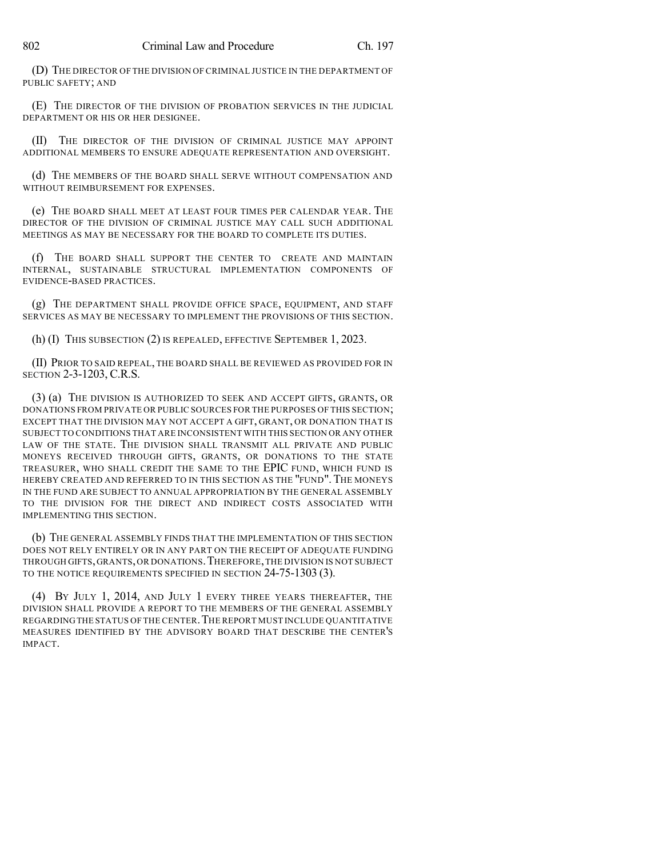(D) THE DIRECTOR OF THE DIVISION OF CRIMINAL JUSTICE IN THE DEPARTMENT OF PUBLIC SAFETY; AND

(E) THE DIRECTOR OF THE DIVISION OF PROBATION SERVICES IN THE JUDICIAL DEPARTMENT OR HIS OR HER DESIGNEE.

(II) THE DIRECTOR OF THE DIVISION OF CRIMINAL JUSTICE MAY APPOINT ADDITIONAL MEMBERS TO ENSURE ADEQUATE REPRESENTATION AND OVERSIGHT.

(d) THE MEMBERS OF THE BOARD SHALL SERVE WITHOUT COMPENSATION AND WITHOUT REIMBURSEMENT FOR EXPENSES.

(e) THE BOARD SHALL MEET AT LEAST FOUR TIMES PER CALENDAR YEAR. THE DIRECTOR OF THE DIVISION OF CRIMINAL JUSTICE MAY CALL SUCH ADDITIONAL MEETINGS AS MAY BE NECESSARY FOR THE BOARD TO COMPLETE ITS DUTIES.

(f) THE BOARD SHALL SUPPORT THE CENTER TO CREATE AND MAINTAIN INTERNAL, SUSTAINABLE STRUCTURAL IMPLEMENTATION COMPONENTS OF EVIDENCE-BASED PRACTICES.

(g) THE DEPARTMENT SHALL PROVIDE OFFICE SPACE, EQUIPMENT, AND STAFF SERVICES AS MAY BE NECESSARY TO IMPLEMENT THE PROVISIONS OF THIS SECTION.

(h) (I) THIS SUBSECTION (2) IS REPEALED, EFFECTIVE SEPTEMBER 1, 2023.

(II) PRIOR TO SAID REPEAL, THE BOARD SHALL BE REVIEWED AS PROVIDED FOR IN SECTION 2-3-1203, C.R.S.

(3) (a) THE DIVISION IS AUTHORIZED TO SEEK AND ACCEPT GIFTS, GRANTS, OR DONATIONS FROM PRIVATE OR PUBLIC SOURCES FOR THE PURPOSES OF THIS SECTION; EXCEPT THAT THE DIVISION MAY NOT ACCEPT A GIFT, GRANT, OR DONATION THAT IS SUBJECT TO CONDITIONS THAT ARE INCONSISTENT WITH THIS SECTION OR ANY OTHER LAW OF THE STATE. THE DIVISION SHALL TRANSMIT ALL PRIVATE AND PUBLIC MONEYS RECEIVED THROUGH GIFTS, GRANTS, OR DONATIONS TO THE STATE TREASURER, WHO SHALL CREDIT THE SAME TO THE EPIC FUND, WHICH FUND IS HEREBY CREATED AND REFERRED TO IN THIS SECTION AS THE "FUND". THE MONEYS IN THE FUND ARE SUBJECT TO ANNUAL APPROPRIATION BY THE GENERAL ASSEMBLY TO THE DIVISION FOR THE DIRECT AND INDIRECT COSTS ASSOCIATED WITH IMPLEMENTING THIS SECTION.

(b) THE GENERAL ASSEMBLY FINDS THAT THE IMPLEMENTATION OF THIS SECTION DOES NOT RELY ENTIRELY OR IN ANY PART ON THE RECEIPT OF ADEQUATE FUNDING THROUGH GIFTS,GRANTS,OR DONATIONS.THEREFORE,THE DIVISION IS NOT SUBJECT TO THE NOTICE REQUIREMENTS SPECIFIED IN SECTION 24-75-1303 (3).

(4) BY JULY 1, 2014, AND JULY 1 EVERY THREE YEARS THEREAFTER, THE DIVISION SHALL PROVIDE A REPORT TO THE MEMBERS OF THE GENERAL ASSEMBLY REGARDING THE STATUS OF THE CENTER. THE REPORT MUST INCLUDE QUANTITATIVE MEASURES IDENTIFIED BY THE ADVISORY BOARD THAT DESCRIBE THE CENTER'S IMPACT.